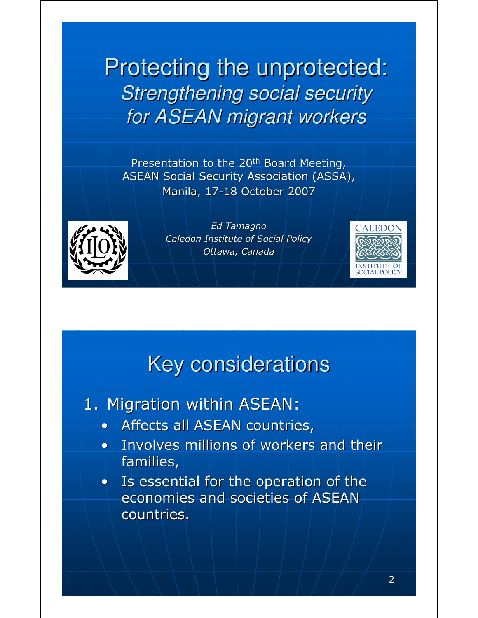Protecting the unprotected: Strengthening social security for ASEAN migrant workers

Presentation to the 20<sup>th</sup> Board Meeting, ASEAN Social Security Association (ASSA), Manila, 17-18 October 2007



Ed Tamagno Caledon Institute of Social Policy Ottawa, Canada

### Key considerations

- 1. Migration within ASEAN:
	- Affects all ASEAN countries,
	- Involves millions of workers and their families,
	- Is essential for the operation of the economies and societies of ASEAN countries.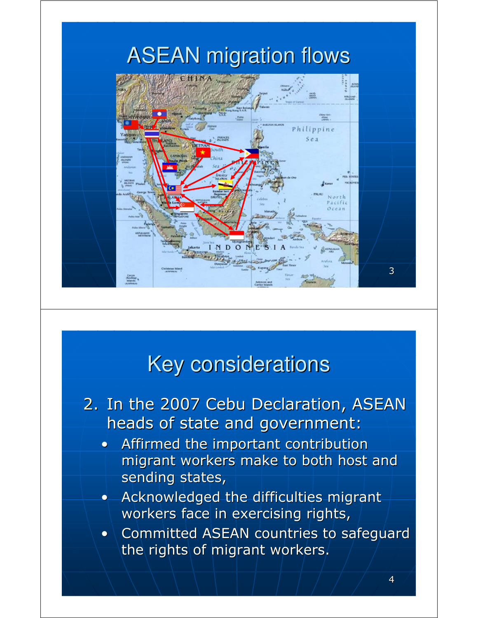

#### Key considerations

- 2. In the 2007 Cebu Declaration, ASEAN heads of state and government:
	- Affirmed the important contribution migrant workers make to both host and sending states,
	- Acknowledged the difficulties migrant workers face in exercising rights,
	- Committed ASEAN countries to safeguard the rights of migrant workers.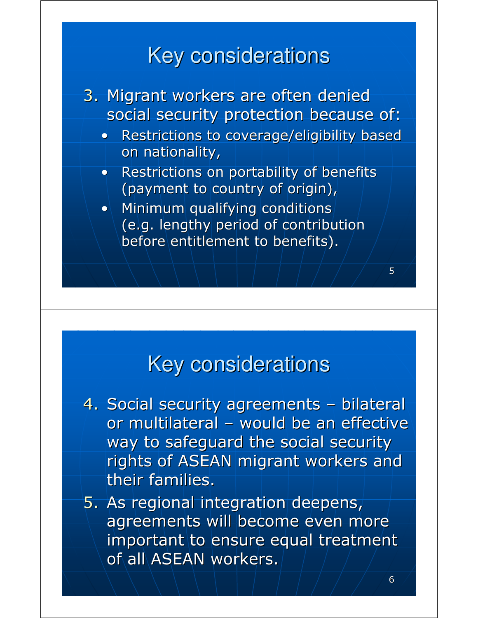## Key considerations



#### Key considerations

- 4. Social security agreements bilateral or multilateral – would be an effective way to safeguard the social security rights of ASEAN migrant workers and their families.
- 5. As regional integration deepens, agreements will become even more important to ensure equal treatment of all ASEAN workers.

5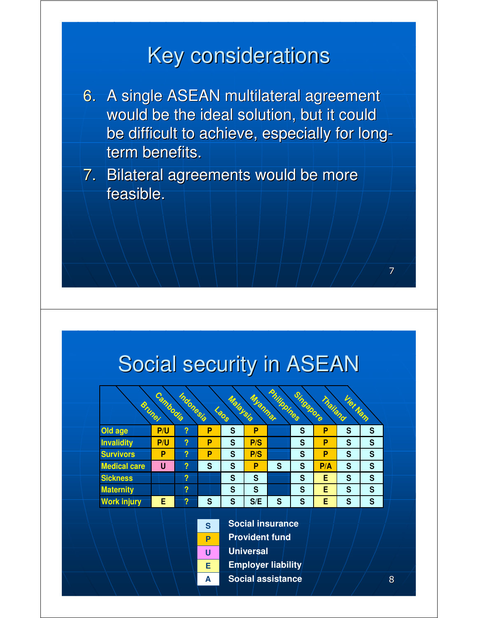## Key considerations

- 6. A single ASEAN multilateral agreement would be the ideal solution, but it could be difficult to achieve, especially for longterm benefits.
- 7. Bilateral agreements would be more feasible.

### Social security in ASEAN

| Philippines<br>Singapore<br>Cambodia<br>Indonesia |     |                         |   |                            |         |   |   |          |          |               |
|---------------------------------------------------|-----|-------------------------|---|----------------------------|---------|---|---|----------|----------|---------------|
| <b>Bruhai</b>                                     |     |                         |   | Malaysia<br><b>CONTROL</b> | Miannar |   |   | Thailand | Viet Nam |               |
| Old age                                           | P/U | ?                       | P | S                          | P       |   | S | P        | S        | S             |
| <b>Invalidity</b>                                 | P/U | ?                       | P | S                          | P/S     |   | S | P        | S        | ${\mathbb S}$ |
| <b>Survivors</b>                                  | P   | ?                       | P | S                          | P/S     |   | S | P        | S        | S             |
| <b>Medical care</b>                               | U   | ?                       | S | S                          | P       | S | S | P/A      | S        | $\mathbf S$   |
| <b>Sickness</b>                                   |     | ?                       |   | S                          | S       |   | S | Е        | S        | ${\sf S}$     |
| <b>Maternity</b>                                  |     | $\overline{\mathbf{?}}$ |   | S                          | S       |   | S | E        | S        | $\mathbf{s}$  |
| <b>Work injury</b>                                | E   | ?                       | S | S                          | S/E     | S | S | Е        | S        | S             |



**Provident fund Universal**

**Employer liability**

**Social assistance**

7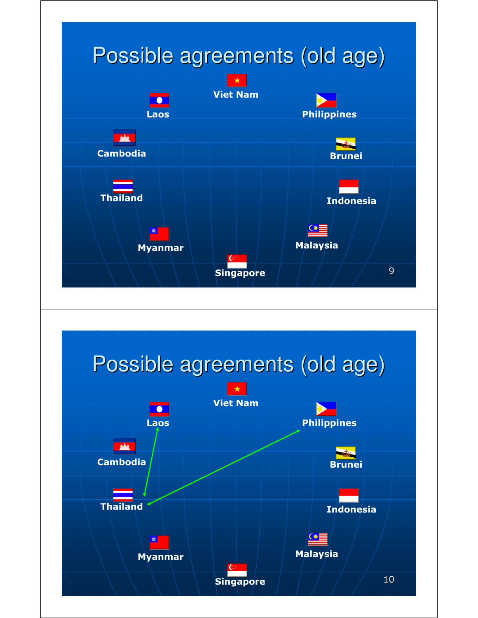

# Possible agreements (old age)

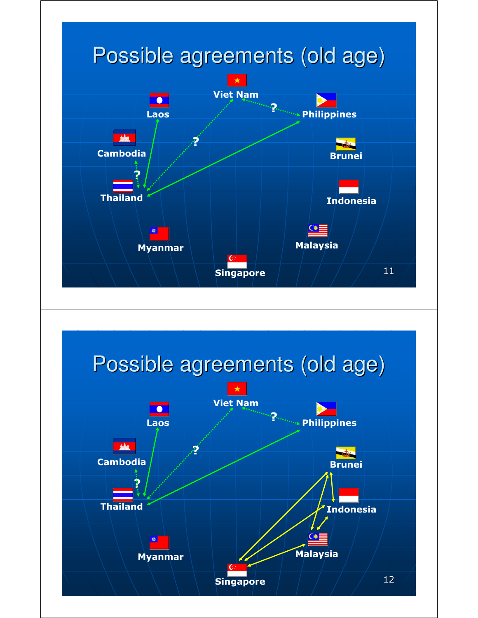

# Possible agreements (old age)

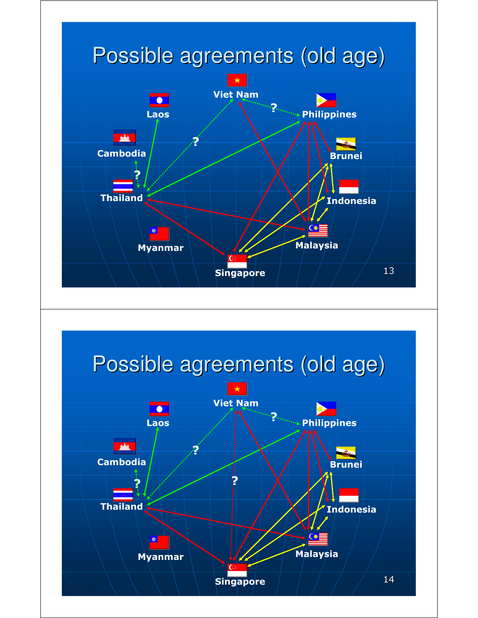

# Possible agreements (old age)

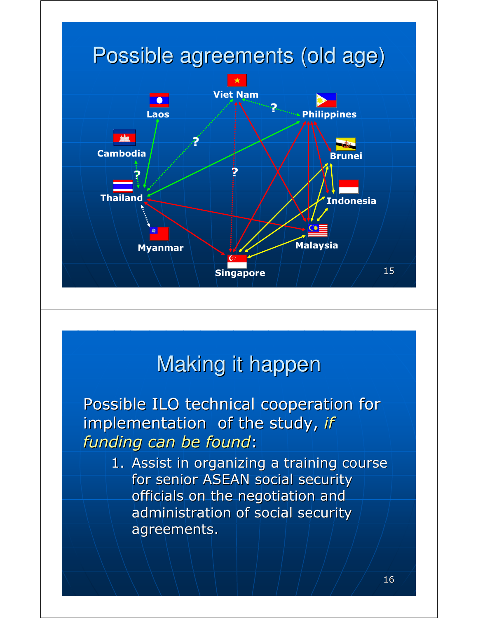

### Making it happen

Possible ILO technical cooperation for implementation of the study, if funding can be found:

1. Assist in organizing a training course for senior ASEAN social security officials on the negotiation and administration of social security agreements.